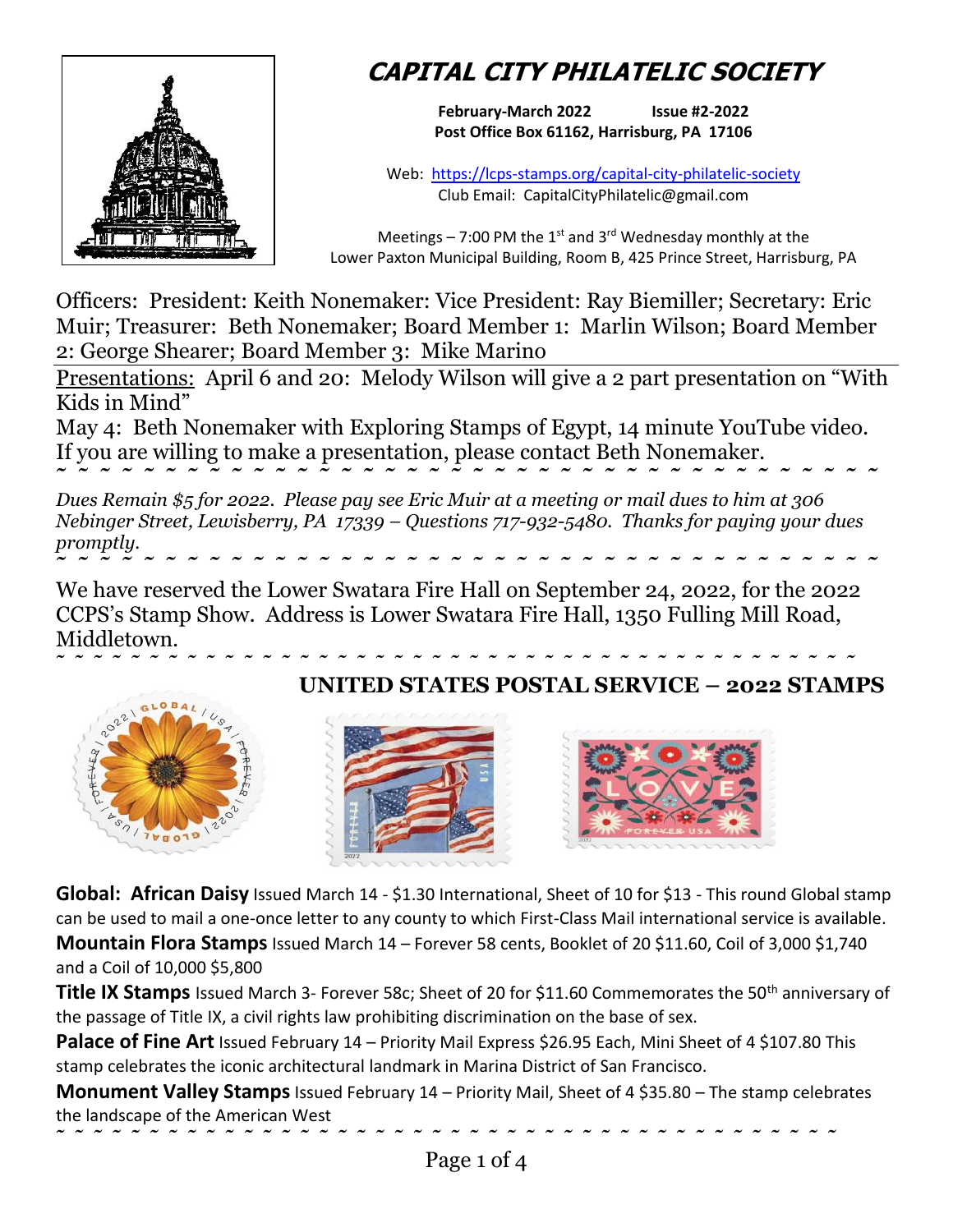

## **CAPITAL CITY PHILATELIC SOCIETY**

**February-March 2022 Issue #2-2022 Post Office Box 61162, Harrisburg, PA 17106**

Web: <https://lcps-stamps.org/capital-city-philatelic-society> Club Email: CapitalCityPhilatelic@gmail.com

Meetings – 7:00 PM the  $1<sup>st</sup>$  and 3<sup>rd</sup> Wednesday monthly at the Lower Paxton Municipal Building, Room B, 425 Prince Street, Harrisburg, PA

Officers: President: Keith Nonemaker: Vice President: Ray Biemiller; Secretary: Eric Muir; Treasurer: Beth Nonemaker; Board Member 1: Marlin Wilson; Board Member 2: George Shearer; Board Member 3: Mike Marino

Presentations: April 6 and 20: Melody Wilson will give a 2 part presentation on "With Kids in Mind"

May 4: Beth Nonemaker with Exploring Stamps of Egypt, 14 minute YouTube video. If you are willing to make a presentation, please contact Beth Nonemaker. **˜ ˜ ˜ ˜ ˜ ˜ ˜ ˜ ˜ ˜ ˜ ˜ ˜ ˜ ˜ ˜ ˜ ˜ ˜ ˜ ˜ ˜ ˜ ˜ ˜ ˜ ˜ ˜ ˜ ˜ ˜ ˜ ˜ ˜ ˜ ˜ ˜ ˜** 

*Dues Remain \$5 for 2022. Please pay see Eric Muir at a meeting or mail dues to him at 306 Nebinger Street, Lewisberry, PA 17339 – Questions 717-932-5480. Thanks for paying your dues promptly.* **˜ ˜ ˜ ˜ ˜ ˜ ˜ ˜ ˜ ˜ ˜ ˜ ˜ ˜ ˜ ˜ ˜ ˜ ˜ ˜ ˜ ˜ ˜ ˜ ˜ ˜ ˜ ˜ ˜ ˜ ˜ ˜ ˜ ˜ ˜ ˜ ˜ ˜** 

We have reserved the Lower Swatara Fire Hall on September 24, 2022, for the 2022 CCPS's Stamp Show. Address is Lower Swatara Fire Hall, 1350 Fulling Mill Road, Middletown.

## **˜ ˜ ˜ ˜ ˜ ˜ ˜ ˜ ˜ ˜ ˜ ˜ ˜ ˜ ˜ ˜ ˜ ˜ ˜ ˜ ˜ ˜ ˜ ˜ ˜ ˜ ˜ ˜ ˜ ˜ ˜ ˜ ˜ ˜ ˜ ˜ ˜ ˜ ˜ ˜ ˜ ˜ ˜ UNITED STATES POSTAL SERVICE – 2022 STAMPS**







**Global: African Daisy** Issued March 14 - \$1.30 International, Sheet of 10 for \$13 - This round Global stamp can be used to mail a one-once letter to any county to which First-Class Mail international service is available. **Mountain Flora Stamps** Issued March 14 – Forever 58 cents, Booklet of 20 \$11.60, Coil of 3,000 \$1,740 and a Coil of 10,000 \$5,800

**Title IX Stamps** Issued March 3- Forever 58c; Sheet of 20 for \$11.60 Commemorates the 50<sup>th</sup> anniversary of the passage of Title IX, a civil rights law prohibiting discrimination on the base of sex.

**Palace of Fine Art** Issued February 14 – Priority Mail Express \$26.95 Each, Mini Sheet of 4 \$107.80 This stamp celebrates the iconic architectural landmark in Marina District of San Francisco.

**Monument Valley Stamps** Issued February 14 – Priority Mail, Sheet of 4 \$35.80 – The stamp celebrates the landscape of the American West

**˜ ˜ ˜ ˜ ˜ ˜ ˜ ˜ ˜ ˜ ˜ ˜ ˜ ˜ ˜ ˜ ˜ ˜ ˜ ˜ ˜ ˜ ˜ ˜ ˜ ˜ ˜ ˜ ˜ ˜ ˜ ˜ ˜ ˜ ˜ ˜ ˜ ˜ ˜ ˜ ˜ ˜**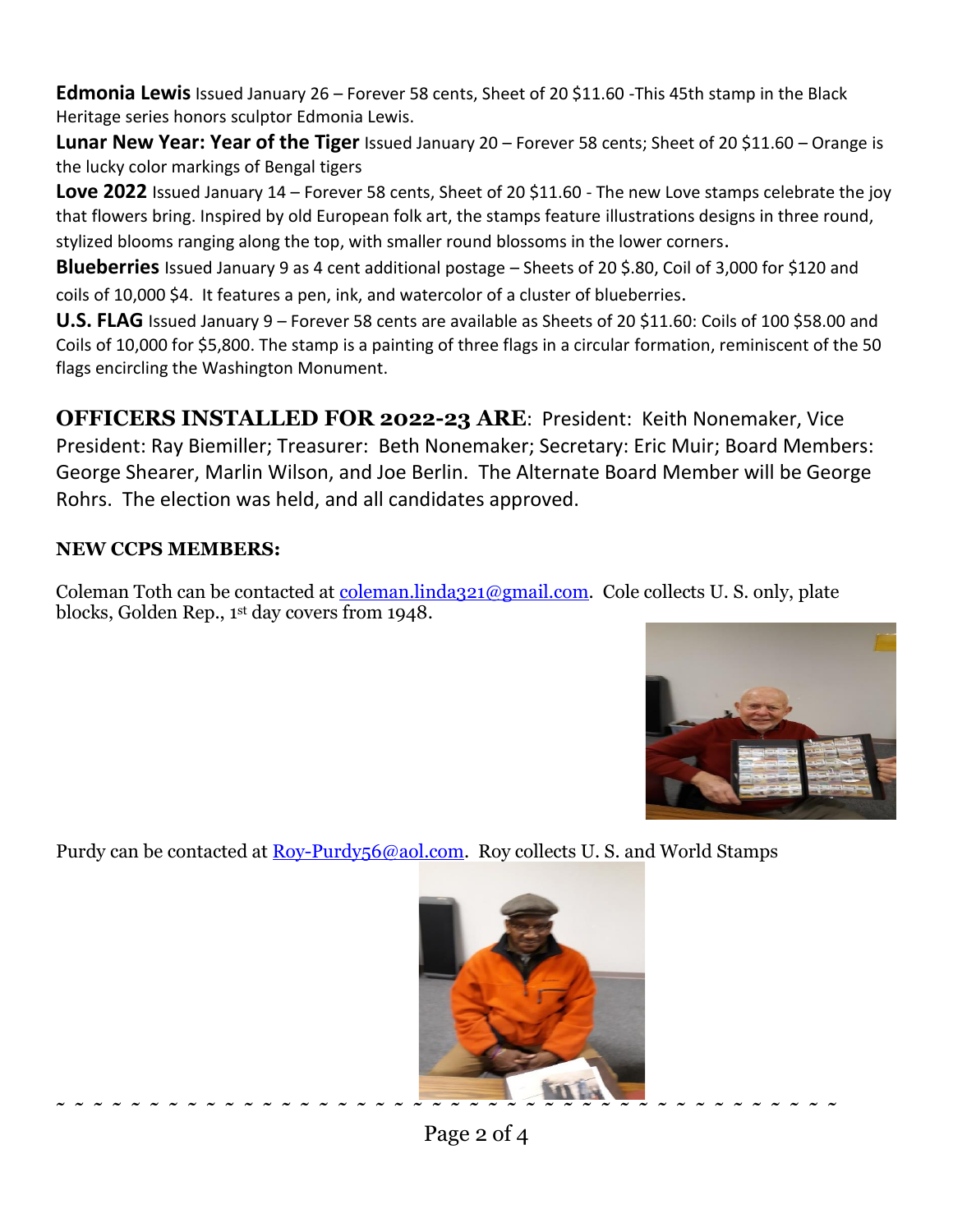Edmonia Lewis Issued January 26 – Forever 58 cents, Sheet of 20 \$11.60 -This 45th stamp in the Black Heritage series honors sculptor Edmonia Lewis.

**Lunar New Year: Year of the Tiger** Issued January 20 – Forever 58 cents; Sheet of 20 \$11.60 – Orange is the lucky color markings of Bengal tigers

**Love 2022** Issued January 14 – Forever 58 cents, Sheet of 20 \$11.60 - The new Love stamps celebrate the joy that flowers bring. Inspired by old European folk art, the stamps feature illustrations designs in three round, stylized blooms ranging along the top, with smaller round blossoms in the lower corners.

**Blueberries** Issued January 9 as 4 cent additional postage – Sheets of 20 \$.80, Coil of 3,000 for \$120 and coils of 10,000 \$4. It features a pen, ink, and watercolor of a cluster of blueberries.

**U.S. FLAG** Issued January 9 – Forever 58 cents are available as Sheets of 20 \$11.60: Coils of 100 \$58.00 and Coils of 10,000 for \$5,800. The stamp is a painting of three flags in a circular formation, reminiscent of the 50 flags encircling the Washington Monument.

**OFFICERS INSTALLED FOR 2022-23 ARE**: President: Keith Nonemaker, Vice President: Ray Biemiller; Treasurer: Beth Nonemaker; Secretary: Eric Muir; Board Members: George Shearer, Marlin Wilson, and Joe Berlin. The Alternate Board Member will be George Rohrs. The election was held, and all candidates approved.

## **NEW CCPS MEMBERS:**

Coleman Toth can be contacted at [coleman.linda321@gmail.com.](mailto:coleman.linda321@gmail.com) Cole collects U. S. only, plate blocks, Golden Rep., 1st day covers from 1948.



Purdy can be contacted at <u>Roy-Purdy56@aol.com</u>. Roy collects U.S. and World Stamps



Page 2 of 4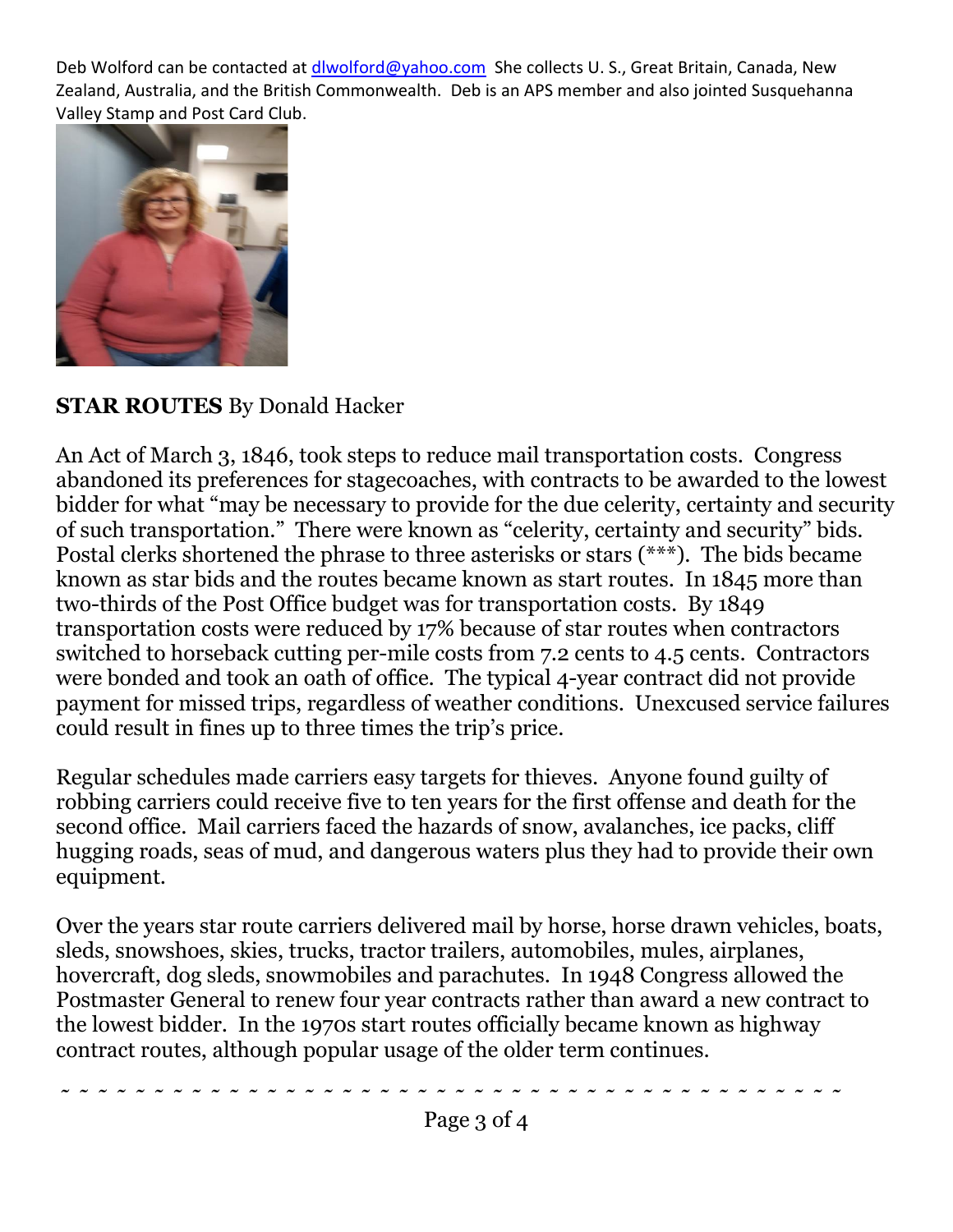Deb Wolford can be contacted at [dlwolford@yahoo.com](mailto:dlwolford@yahoo.com) She collects U.S., Great Britain, Canada, New Zealand, Australia, and the British Commonwealth. Deb is an APS member and also jointed Susquehanna Valley Stamp and Post Card Club.



**STAR ROUTES** By Donald Hacker

An Act of March 3, 1846, took steps to reduce mail transportation costs. Congress abandoned its preferences for stagecoaches, with contracts to be awarded to the lowest bidder for what "may be necessary to provide for the due celerity, certainty and security of such transportation." There were known as "celerity, certainty and security" bids. Postal clerks shortened the phrase to three asterisks or stars (\*\*\*). The bids became known as star bids and the routes became known as start routes. In 1845 more than two-thirds of the Post Office budget was for transportation costs. By 1849 transportation costs were reduced by 17% because of star routes when contractors switched to horseback cutting per-mile costs from 7.2 cents to 4.5 cents. Contractors were bonded and took an oath of office. The typical 4-year contract did not provide payment for missed trips, regardless of weather conditions. Unexcused service failures could result in fines up to three times the trip's price.

Regular schedules made carriers easy targets for thieves. Anyone found guilty of robbing carriers could receive five to ten years for the first offense and death for the second office. Mail carriers faced the hazards of snow, avalanches, ice packs, cliff hugging roads, seas of mud, and dangerous waters plus they had to provide their own equipment.

Over the years star route carriers delivered mail by horse, horse drawn vehicles, boats, sleds, snowshoes, skies, trucks, tractor trailers, automobiles, mules, airplanes, hovercraft, dog sleds, snowmobiles and parachutes. In 1948 Congress allowed the Postmaster General to renew four year contracts rather than award a new contract to the lowest bidder. In the 1970s start routes officially became known as highway contract routes, although popular usage of the older term continues.

**˜ ˜ ˜ ˜ ˜ ˜ ˜ ˜ ˜ ˜ ˜ ˜ ˜ ˜ ˜ ˜ ˜ ˜ ˜ ˜ ˜ ˜ ˜ ˜ ˜ ˜ ˜ ˜ ˜ ˜ ˜ ˜ ˜ ˜ ˜ ˜ ˜ ˜ ˜ ˜ ˜ ˜**